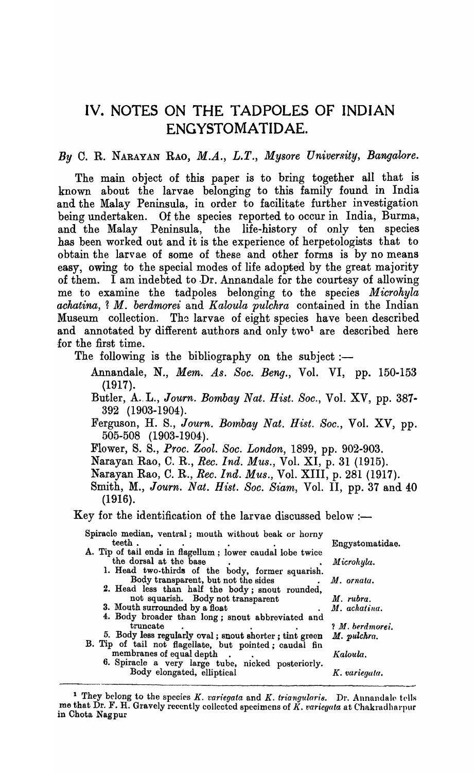# **IV. NOTES ON THE TADPOLES OF INDIAN ENGYSTOMATIDAE.**

# By C. R. NARAYAN RAO, *M.A.*, *L.T.*, *Mysore University*, *Bangalore.*

The main object of this paper is to bring together all that is known about the larvae belonging to this family found in India and the Malay Peninsula, in order to facilitate further investigation being undertaken. Of the species reported to occur in India, Burma, and the Malay Peninsula, the life-history of only ten species has been worked out and it is the experience of herpetologists that to obtain the larvae of some of these and other forms is by no means easy, owing to the special modes of life adopted by the great majority of them. I am indebted to Dr. Annandale for the courtesy of allowing me to examine the tadpoles belonging to the species *M iorohyla achatina,* 1 M. *berdmorei* and *Kaloula pulohra* contained in the Indian Museum collection. The larvae of eight species have been described and annotated by different authors and only two<sup>1</sup> are described here for the first time.

The following is the bibliography on the subject: $\frac{1}{1}$ 

- Annandale, N., *Mem. As. Soc. Beng.,* Vol. VI, pp. 150-153 (1917).
- Butler, A. L., *Journ. Bombay Nat. Hist. Soc.*, Vol. XV, pp. 387-392 (1903-1904).
- Ferguson, H. S., *Journ. Bombay Nat. Hist. Soc.,* Vol. XV, pp. 505-508 (1903-1904).
- Flower, S. S., *Proo. Zool. Soc. London,* 1899, pp. 902-903.

Narayan Rao, C. R., *Reo. Ind. Mus.,* Vol. XI, p. 31 (1915).

- Narayan Rao, C. R., *Reo. Ind. Mus.,* Vol. XIII, p. 281 (1917).
- Smith, M., *Journ. Nat. Hist. Soc. Siam,* Vol. II, pp. 37 and 40 (1916).

Key for the identification of the larvae discussed below :- teeth . .. . . Engystomatidae. Spiracle median, ventral; mouth without beak or horny teeth. A. Tip of tail ends in flagellum; lower caudal lobe twice the dorsal at the base  $\cdot$  . **Microlyla.** 1. Head two-thirds of the body, former squarish. Body transparent, but not the sides . *M. ornata.*  2. Head less than half the body; snout rounded, not squarish. Body not transparent M. *rubra.*  3. Mouth surrounded by a float  $\qquad \qquad$   $\qquad \qquad$   $\qquad \qquad$   $\qquad \qquad$   $\qquad \qquad$   $\qquad \qquad$   $\qquad \qquad$   $\qquad \qquad$   $\qquad \qquad$   $\qquad \qquad$   $\qquad \qquad$   $\qquad \qquad$   $\qquad \qquad$   $\qquad \qquad$   $\qquad \qquad$   $\qquad \qquad$   $\qquad \qquad$   $\qquad \qquad$   $\qquad \qquad$   $\qquad \qquad$   $\qquad \qquad$  4. Body broader than long; snout abbreviated and d two-thirds of the body, former squarish.<br>
Body transparent, but not the sides . M. ornata.<br>
d less than half the body; snout rounded,<br>
not squarish. Body not transparent . M. rubra.<br>
th surrounded by a float . M. achatin 5. Body less regularly oval; snout shorter; tint green M. *pulchra.*  B. Tip of tail not flagellate, but pointed; caudal fin *Kaloula*. 6. Spiracle a very large tube, nicked posteriorly. Body elongated, elliptical **K.** *variegata.* 

<sup>&</sup>lt;sup>1</sup> They belong to the species K. *variegata* and K. *triangularis.* Dr. Annandale tells me that Dr. F. H. Gravely recently collected specimens of K. *variegata* at Chakradharpur in Chota Nagpur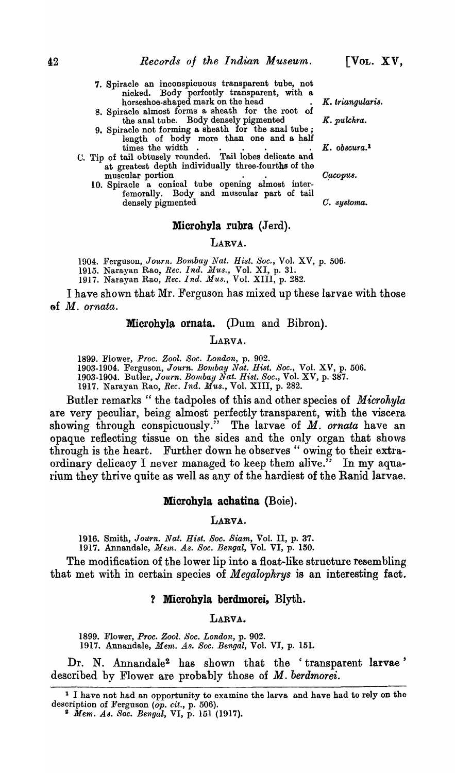- 7. Spiracle an inconspicuous transparent tube, not nicked. Body perfectly transparent, with a horseshoe-shaped mark on the head . *K. triangularis.*
- 8. Spiracle almost forms a sheath for the root of the anal tube. Body densely pigmented K. pulchra.
- 9. Spiracle not forming a sheath for the anal tube; length of body more than one and a half times the width. . .. . K. *obscura.1*
- U. Tip of tail obtusely rounded. Tail lobes delicate and at greatest depth individually three·fourths of the muscular portion .. G.acOPU8. 10. Spiracle a conical tube opening almost inter
	- femorally. Body and muscular part of tail densely pigmented  $C.$  *systoma.*

# Microhyla rubra (Jerd).

# LARVA.

1904. Ferguson, *Journ. Bombay Nat. Hist. Soc.*, Vol. XV, p. 506.

1915. Narayan Rao, *Ree. Ind. lJfus.,* Vol. XI, p. 3l.

1917. Narayan Rao, *Rec. Ind. Mus.,* Vol. XIII, p. 282.

I have shown that Mr. Ferguson has mixed up these larvae with those of *M. ornata.* 

# Microhyla ornata. (Dum and Bibron).

#### LARVA.

1899. Flower, *Proc. Zool. Soc. London,* p. 902. 1903-1904. Ferguson, *Journ. Bombay Nat. Hist. Soc.*, Vol. XV, p. 506. 1903-1904. Butler, *Journ. Bombay Nat. Hisl. Soc.,* Vol. XV, p. 387. 1917. Narayan Rao, *Rec. Ind. Mus.,* Vol. XIII, p. 282.

Butler remarks" the tadpoles of this and other species of *Microhyla*  are very peculiar, being almost perfectly transparent, with the viscera showing through conspicuously." The larvae of M. ornata have an opaque reflecting tissue on the sides and the only organ that shows through is the heart. Further down he observes " owing to their extraordinary delicacy I never managed to keep them alive." In my aquarium they thrive quite as well as any of the hardiest of the Ranid larvae.

# Microhyla achatina (Boie).

LARVA.

1916. Smith, *Journ. Nat. Hist. Soc. Siam,* Vol. II, p. 37. 1917. Annandale, *lYlem. As. Soc. Bengal,* Vol. VI, p. 150.

The modification of the lower lip 'into a float-like structure resembling that met with in certain species of *Megalophrys* is an interesting fact.

### ? Microhyla berdmorei, Blyth.

### LARVA.

1899. Flower, *Proc. Zool. Soc. London,* p. 902. 1917. Annandale, *Mem. As. Soc. Bengal,* Vol. VI, p. 151.

Dr. N. Annandale<sup>2</sup> has shown that the 'transparent larvae' described by Flower are probably those of *M. berdmorei.* 

<sup>1</sup>I have not had an opportunity to examine the larva and have had to rely on the description of Ferguson ( $o\overline{p}$ , cit., p. 506).

<sup>2</sup> *Mem. As. Soc. Bengal*, VI, p. 151 (1917).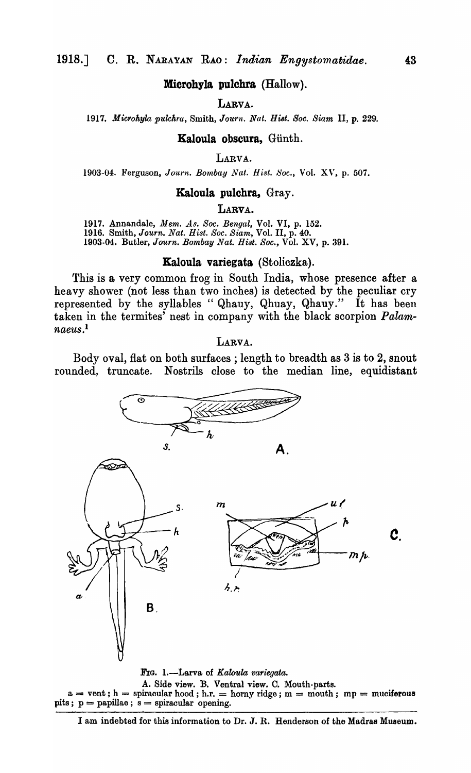# Microhyla pulchra (Hallow).

LARVA.

*1917. Microhyla pulchra.,* Smith, *Journ. Nat. BiBt. Soc. Siam* II, p. 229.

#### Kaloula obscura, Giinth.

# LARVA.

1903-04. Ferguson, Journ. Bombay Nat. Hist. Soc., Vol. XV, p. 507.

#### Kaloula pulchra, Gray.

#### LARVA.

1917. Annandale, *Mem. As. Soc. Bengal,* Vol. VI, p. 152. 1916. Smith, *Journ. Nat. Hist. Soc. Siam,* Vol. II, p. 40. 1903-04. Butler, *Journ. Bombay Nat. Hist. Soc.,* Vol. XV, p. 391.

# Kaloula variegata (Stoliczka).

This is a very common frog in South India, whose presence after a heavy shower (not less than two inches) is detected by the peculiar cry represented by the syllables "Qhauy, Qhuay, Qhauy." It has been taken in the termites' nest in company with the black scorpion *Palamnaeus.*<sup>1</sup>

LARVA.

Body oval, flat on both surfaces ; length to breadth as 3 is to 2, snout rounded, truncate. Nostrils close to the median line, equidistant



 $a =$  vent; h = spiracular hood; h.r. = horny ridge; m = mouth; mp = muciferous pits;  $p =$  papillae;  $s =$  spiracular opening.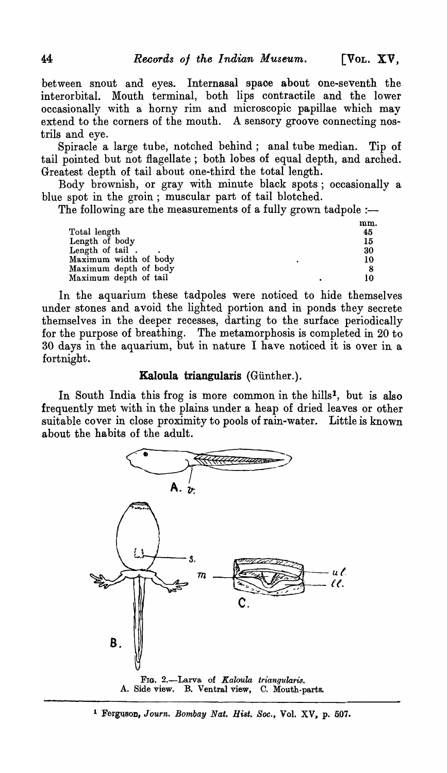between snout and eyes. Internasal spaoe about one-seventh the interorbital. Mouth terminal, both lips contractile and the lower occasionally with a horny rim and microscopic papillae which may extend to the corners of the mouth. A sensory groove connecting nostrils and eye.

Spiracle a large tube, notched behind; anal tube median. Tip of tail pointed but not flagellate; both lobes of equal depth, and arched. Greatest depth of tail about one-third the total length.

Body brownish, or gray with minute black spots; occasionally a blue spot in the groin; muscular part of tail blotched.

The following are the measurements of a fully grown tadpole :-

|                       |   | mm. |
|-----------------------|---|-----|
| Total length          |   | 45  |
| Length of body        |   | 15  |
| Length of tail.       |   | 30  |
| Maximum width of body | ٠ | 10  |
| Maximum depth of body |   |     |
| Maximum depth of tail |   |     |

In the aquarium these tadpoles were noticed to hide themselves under stones and avoid the lighted portion and in ponds they secrete themselves in the deeper recesses, darting to the surface periodically for the purpose of breathing. The metamorphosis is completed in 20 to 30 days in the aquarium, but in nature I have noticed it is over in a fortnight.

# Kaloula triangularis (Günther.).

In South India this frog is more common in the hills<sup>1</sup>, but is also frequently met with in the plains under a heap of dried leaves or other suitable cover in close proximity to pools of rain-water. Little is known about the habits of the adult.



<sup>&</sup>lt;sup>1</sup> Ferguson, Journ. Bombay Nat. Hist. Soc., Vol. XV, p. 507.